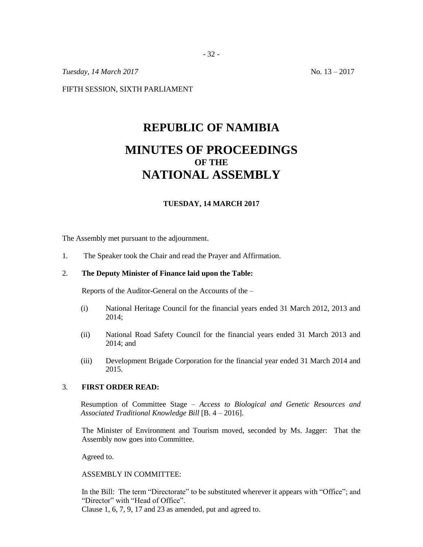*Tuesday,* 14 *March* 2017 No. 13 – 2017

FIFTH SESSION, SIXTH PARLIAMENT

# **REPUBLIC OF NAMIBIA MINUTES OF PROCEEDINGS OF THE NATIONAL ASSEMBLY**

#### **TUESDAY, 14 MARCH 2017**

The Assembly met pursuant to the adjournment.

1. The Speaker took the Chair and read the Prayer and Affirmation.

## 2. **The Deputy Minister of Finance laid upon the Table:**

Reports of the Auditor-General on the Accounts of the –

- (i) National Heritage Council for the financial years ended 31 March 2012, 2013 and 2014;
- (ii) National Road Safety Council for the financial years ended 31 March 2013 and 2014; and
- (iii) Development Brigade Corporation for the financial year ended 31 March 2014 and 2015.

### 3. **FIRST ORDER READ:**

Resumption of Committee Stage – *Access to Biological and Genetic Resources and Associated Traditional Knowledge Bill* [B. 4 – 2016].

The Minister of Environment and Tourism moved, seconded by Ms. Jagger: That the Assembly now goes into Committee.

Agreed to.

ASSEMBLY IN COMMITTEE:

In the Bill: The term "Directorate" to be substituted wherever it appears with "Office"; and "Director" with "Head of Office". Clause 1, 6, 7, 9, 17 and 23 as amended, put and agreed to.